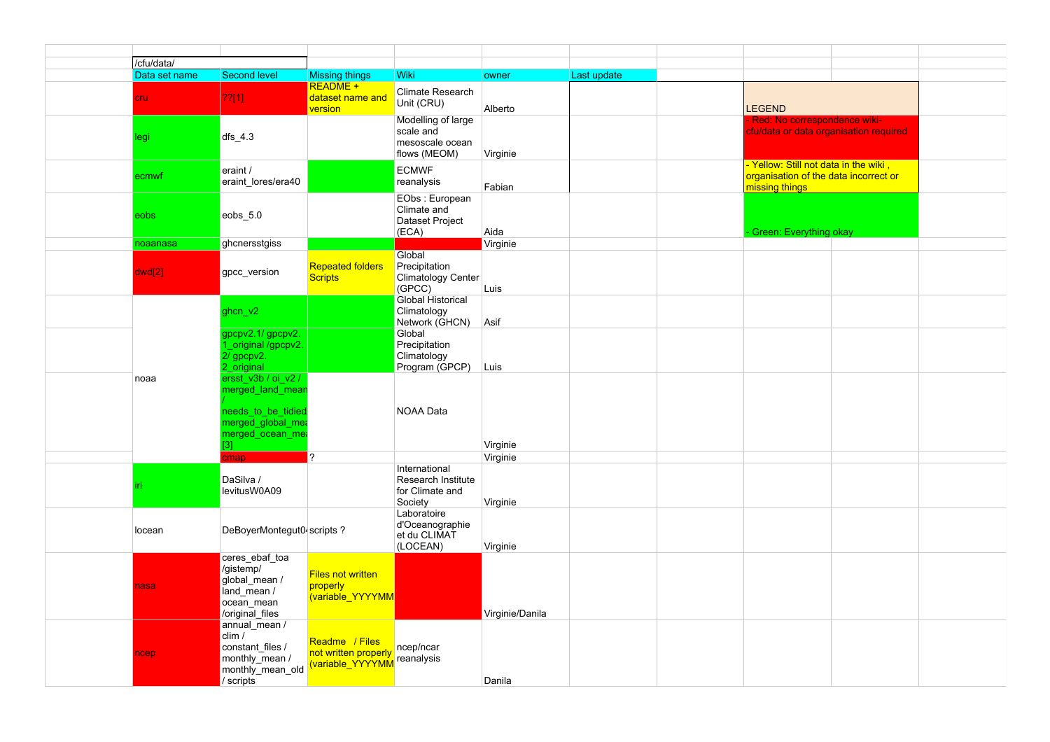|  | /cfu/data/                           |                                                                                                                   |                                                           |                                                                    |                 |             |                                                                                                  |  |  |
|--|--------------------------------------|-------------------------------------------------------------------------------------------------------------------|-----------------------------------------------------------|--------------------------------------------------------------------|-----------------|-------------|--------------------------------------------------------------------------------------------------|--|--|
|  | Data set name<br><b>Second level</b> |                                                                                                                   | <b>Missing things</b>                                     | <b>Wiki</b>                                                        | owner           | Last update |                                                                                                  |  |  |
|  |                                      |                                                                                                                   | README +                                                  |                                                                    |                 |             |                                                                                                  |  |  |
|  | <b>cru</b>                           | 22[1]                                                                                                             | dataset name and<br>version                               | <b>Climate Research</b><br>Unit (CRU)                              | Alberto         |             | <b>LEGEND</b>                                                                                    |  |  |
|  | legi                                 | $dfs_4.3$                                                                                                         |                                                           | Modelling of large<br>scale and<br>mesoscale ocean<br>flows (MEOM) | Virginie        |             | Red: No correspondence wiki-<br>cfu/data or data organisation required                           |  |  |
|  | ecmwf                                | eraint /<br>eraint lores/era40                                                                                    |                                                           | <b>ECMWF</b><br>reanalysis                                         | Fabian          |             | - Yellow: Still not data in the wiki,<br>organisation of the data incorrect or<br>missing things |  |  |
|  | eobs                                 | eobs_5.0                                                                                                          |                                                           | EObs: European<br>Climate and<br>Dataset Project<br>(ECA)          | Aida            |             | <b>Green: Everything okay</b>                                                                    |  |  |
|  | noaanasa                             | ghcnersstgiss                                                                                                     |                                                           |                                                                    | Virginie        |             |                                                                                                  |  |  |
|  | dwd[2]                               | gpcc_version                                                                                                      | <b>Repeated folders</b><br><b>Scripts</b>                 | Global<br>Precipitation<br><b>Climatology Center</b><br>(GPCC)     | Luis            |             |                                                                                                  |  |  |
|  |                                      | ghcn v2                                                                                                           |                                                           | <b>Global Historical</b><br>Climatology<br>Network (GHCN)          | Asif            |             |                                                                                                  |  |  |
|  |                                      | qpcpv2.1/gpcpv2.<br>criginal /gpcpv2.<br>2/ gpcpv2.<br>2 original                                                 |                                                           | Global<br>Precipitation<br>Climatology<br>Program (GPCP)           | Luis            |             |                                                                                                  |  |  |
|  | noaa                                 | ersst v3b / oi v2 /<br>merged_land_mear<br>needs_to_be_tidied<br>merged global mea<br>merged_ocean_me<br>$^{[3]}$ |                                                           | <b>NOAA Data</b>                                                   | Virginie        |             |                                                                                                  |  |  |
|  |                                      | cmap                                                                                                              | $\boldsymbol{\gamma}$                                     |                                                                    | Virginie        |             |                                                                                                  |  |  |
|  |                                      | DaSilva /<br>levitusW0A09                                                                                         |                                                           | International<br>Research Institute<br>for Climate and<br>Society  | Virginie        |             |                                                                                                  |  |  |
|  | locean                               | DeBoyerMontegut0 scripts?                                                                                         |                                                           | Laboratoire<br>d'Oceanographie<br>et du CLIMAT<br>(LOCEAN)         | Virginie        |             |                                                                                                  |  |  |
|  | nasa                                 | ceres_ebaf_toa<br>/gistemp/<br>global mean /<br>land mean /<br>ocean_mean<br>/original_files                      | <b>Files not written</b><br>properly<br>(variable YYYYMM  |                                                                    | Virginie/Danila |             |                                                                                                  |  |  |
|  | ncep                                 | annual mean /<br>clim /<br>constant files /<br>monthly mean /<br>monthly_mean_old<br>/ scripts                    | Readme / Files<br>not written properly<br>variable_YYYYMM | ncep/ncar<br>reanalysis                                            | Danila          |             |                                                                                                  |  |  |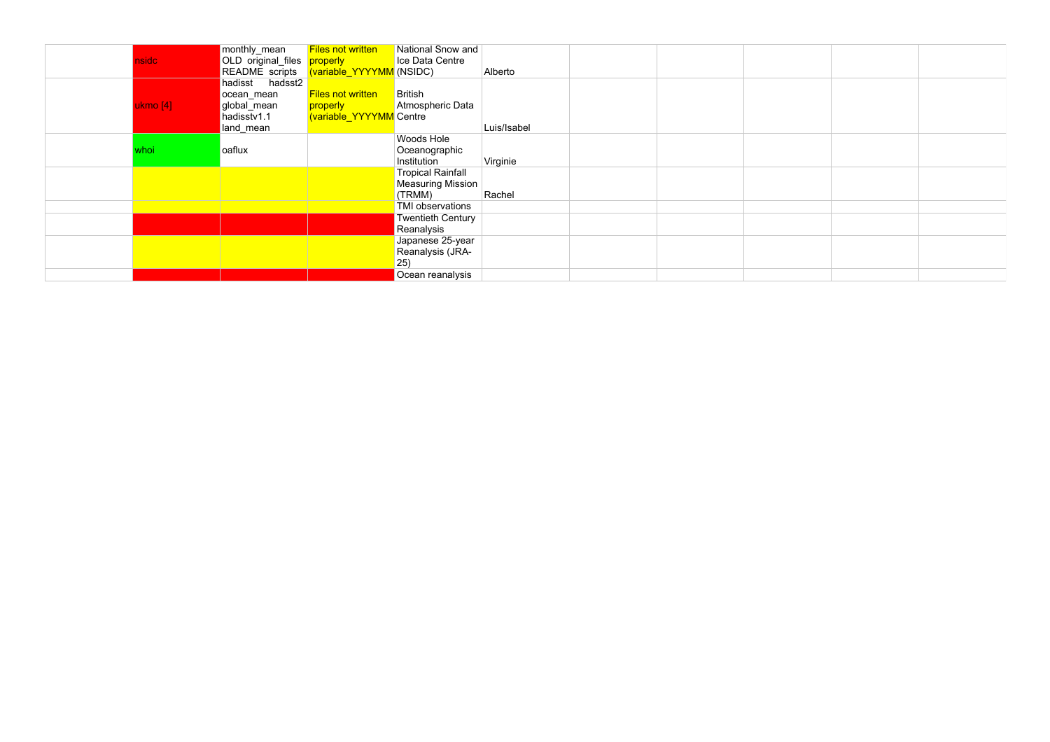| nsidc    | monthly_mean<br>OLD original_files properly                              | <b>Files not written</b><br>README scripts (variable_YYYYMM (NSIDC) | National Snow and<br>Ice Data Centre                    | Alberto     |  |  |  |
|----------|--------------------------------------------------------------------------|---------------------------------------------------------------------|---------------------------------------------------------|-------------|--|--|--|
| ukmo [4] | hadisst hadsst2<br>ocean_mean<br>global_mean<br>hadisstv1.1<br>land mean | <b>Files not written</b><br>properly<br>(variable_YYYYMM Centre     | British<br>Atmospheric Data                             | Luis/Isabel |  |  |  |
| whoi     | oaflux                                                                   |                                                                     | Woods Hole<br>Oceanographic<br>Institution              | Virginie    |  |  |  |
|          |                                                                          |                                                                     | <b>Tropical Rainfall</b><br>Measuring Mission<br>(TRMM) | Rachel      |  |  |  |
|          |                                                                          |                                                                     | TMI observations<br>Twentieth Century<br>Reanalysis     |             |  |  |  |
|          |                                                                          |                                                                     | Japanese 25-year<br>Reanalysis (JRA-<br>$ 25\rangle$    |             |  |  |  |
|          |                                                                          |                                                                     | Ocean reanalysis                                        |             |  |  |  |